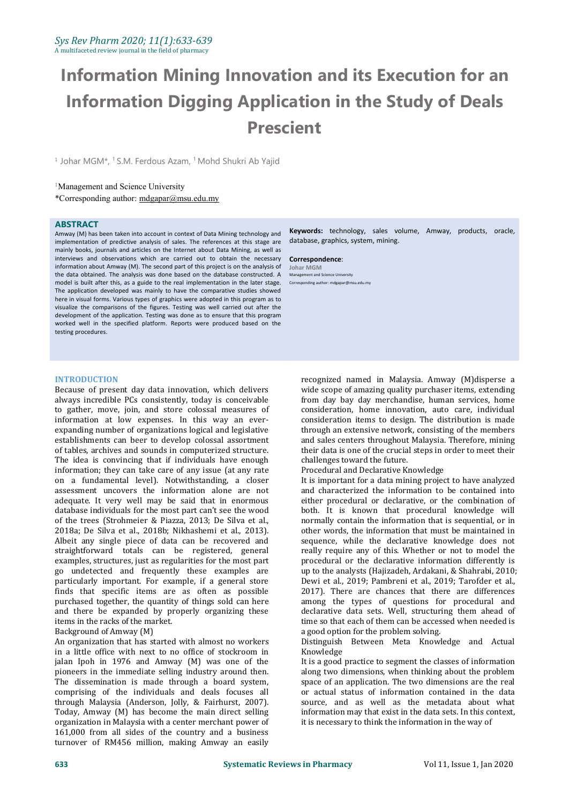# **Information Mining Innovation and its Execution for an Information Digging Application in the Study of Deals Prescient**

<sup>1</sup> Johar MGM<sup>\*</sup>, <sup>1</sup> S.M. Ferdous Azam, <sup>1</sup> Mohd Shukri Ab Yajid

#### <sup>1</sup>Management and Science University

\*Corresponding author: [mdgapar@msu.edu.my](mailto:mdgapar@msu.edu.my)

#### **ABSTRACT**

Amway (M) has been taken into account in context of Data Mining technology and implementation of predictive analysis of sales. The references at this stage are mainly books, journals and articles on the Internet about Data Mining, as well as interviews and observations which are carried out to obtain the necessary information about Amway (M). The second part of this project is on the analysis of the data obtained. The analysis was done based on the database constructed. A model is built after this, as a guide to the real implementation in the later stage. The application developed was mainly to have the comparative studies showed here in visual forms. Various types of graphics were adopted in this program as to visualize the comparisons of the figures. Testing was well carried out after the development of the application. Testing was done as to ensure that this program worked well in the specified platform. Reports were produced based on the testing procedures.

**Keywords:** technology, sales volume, Amway, products, oracle, database, graphics, system, mining.

#### **Correspondence**: **Johar MGM** Management and Science University Corresponding author: mdgapar@msu.edu.my

#### **INTRODUCTION**

Because of present day data innovation, which delivers always incredible PCs consistently, today is conceivable to gather, move, join, and store colossal measures of information at low expenses. In this way an ever expanding number of organizations logical and legislative establishments can beer to develop colossal assortment of tables, archives and sounds in computerized structure. The idea is convincing that if individuals have enough information; they can take care of any issue (at any rate on a fundamental level). Notwithstanding, a closer assessment uncovers the information alone are not adequate. It very well may be said that in enormous database individuals for the most part can't see the wood of the trees (Strohmeier & Piazza, 2013; De Silva et al., 2018a; De Silva et al., 2018b; Nikhashemi et al., 2013). Albeit any single piece of data can be recovered and straightforward totals can be registered, general examples, structures, just as regularities for the most part go undetected and frequently these examples are particularly important. For example, if a general store finds that specific items are as often as possible purchased together, the quantity of things sold can here and there be expanded by properly organizing these items in the racks of the market.

#### Background of Amway (M)

An organization that has started with almost no workers **Distinguish**<br>in a little office with next to no office of stockroom in **Khowledge** in a little office with next to no office of stockroom in jalan Ipoh in 1976 and Amway (M) was one of the pioneers in the immediate selling industry around then. The dissemination is made through a board system, comprising of the individuals and deals focuses all through Malaysia (Anderson, Jolly, & Fairhurst, 2007). Today, Amway (M) has become the main direct selling organization in Malaysia with a center merchant power of 161,000 from all sides of the country and a business turnover of RM456 million, making Amway an easily

recognized named in Malaysia. Amway (M)disperse a wide scope of amazing quality purchaser items, extending from day bay day merchandise, human services, home consideration, home innovation, auto care, individual consideration items to design. The distribution is made through an extensive network, consisting of the members and sales centers throughout Malaysia. Therefore, mining their data is one of the crucial steps in order to meet their challenges toward the future.

Procedural and Declarative Knowledge

It is important for a data mining project to have analyzed and characterized the information to be contained into either procedural or declarative, or the combination of both. It is known that procedural knowledge will normally contain the information that is sequential, or in other words, the information that must be maintained in sequence, while the declarative knowledge does not really require any of this.Whether or not to model the procedural or the declarative information differently is up to the analysts (Hajizadeh, Ardakani, & Shahrabi, 2010; Dewi et al., 2019; Pambreni et al., 2019; Tarofder et al., 2017). There are chances that there are differences among the types of questions for procedural and declarative data sets. Well, structuring them ahead of time so that each of them can be accessed when needed is a good option for the problem solving.

Distinguish Between Meta Knowledge and Actual Knowledge

It is a good practice to segment the classes of information along two dimensions, when thinking about the problem space of an application. The two dimensions are the real or actual status of information contained in the data source, and as well as the metadata about what information may that exist in the data sets. In this context, it is necessary to think the information in the way of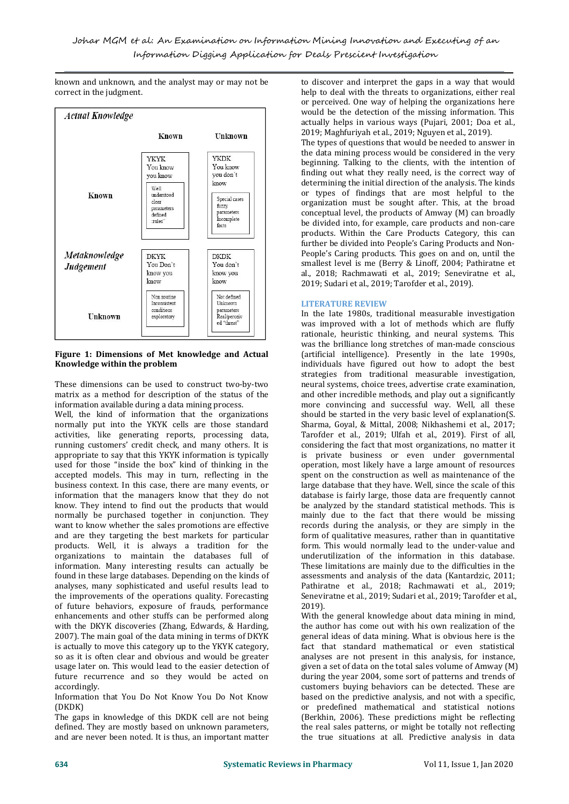known and unknown, and the analyst may or may not be correct in the judgment.



## **Figure 1: Dimensions of Met knowledge and Actual Knowledge within the problem**

These dimensions can be used to construct two-by-two matrix as a method for description of the status of the information available during a data mining process.

Well, the kind of information that the organizations normally put into the YKYK cells are those standard<br>activities, like generating reports, processing data, Tarofder et al., 2019; Ulfah et al., 2019). First of all, activities, like generating reports, processing data, running customers' credit check, and many others. It is appropriate to say that this YKYK information is typically used for those "inside the box" kind of thinking in the accepted models. This may in turn, reflecting in the business context. In this case, there are many events, or information that the managers know that they do not know. They intend to find out the products that would normally be purchased together in conjunction. They want to know whether the sales promotions are effective and are they targeting the best markets for particular products. Well, it is always a tradition for the organizations to maintain the databases full of information. Many interesting results can actually be found in these large databases. Depending on the kinds of analyses, many sophisticated and useful results lead to the improvements of the operations quality. Forecasting of future behaviors, exposure of frauds, performance enhancements and other stuffs can be performed along with the DKYK discoveries (Zhang, Edwards, & Harding, 2007). The main goal of the data mining in terms of DKYK is actually to move this category up to the YKYK category, so as it is often clear and obvious and would be greater usage later on. This would lead to the easier detection of future recurrence and so they would be acted on accordingly.

Information that You Do Not Know You Do Not Know (DKDK)

The gaps in knowledge of this DKDK cell are not being defined. They are mostly based on unknown parameters, and are never been noted. It is thus, an important matter to discover and interpret the gaps in a way that would help to deal with the threats to organizations, either real or perceived. One way of helping the organizations here would be the detection of the missing information. This actually helps in various ways (Pujari, 2001; Doa et al., 2019; Maghfuriyah et al., 2019; Nguyen et al., 2019).

The types of questions that would be needed to answer in the data mining process would be considered in the very beginning. Talking to the clients, with the intention of finding out what they really need, is the correct way of determining the initial direction of the analysis. The kinds or types of findings that are mosthelpful to the organization must be sought after. This, at the broad conceptual level, the products of Amway (M) can broadly be divided into, for example, care products and non-care products. Within the Care Products Category, this can further be divided into People's Caring Products and Non- People's Caring products. This goes on and on, until the smallest level is me (Berry & Linoff, 2004; Pathiratne et al., 2018; Rachmawati et al., 2019; Seneviratne et al., 2019; Sudari et al., 2019; Tarofder et al., 2019).

## **LITERATURE REVIEW**

In the late 1980s, traditional measurable investigation was improved with a lot of methods which are fluffy rationale, heuristic thinking, and neural systems. This was the brilliance long stretches of man-made conscious (artificial intelligence). Presently in the late 1990s, individuals have figured out how to adopt the best strategies from traditional measurable investigation, neural systems, choice trees, advertise crate examination, and other incredible methods, and play out a significantly more convincing and successful way. Well, all these should be started in the very basic level of explanation(S. Sharma, Goyal, & Mittal, 2008; Nikhashemi et al., 2017; considering the fact that most organizations, no matter it is private business or even under governmental operation, most likely have a large amount of resources spent on the construction as well as maintenance of the large database that they have. Well, since the scale of this database is fairly large, those data are frequently cannot be analyzed by the standard statistical methods. This is mainly due to the fact that there would be missing records during the analysis, or they are simply in the form of qualitative measures, rather than in quantitative form. This would normally lead to the under-value and underutilization of the information in this database. These limitations are mainly due to the difficulties in the assessments and analysis of the data (Kantardzic, 2011; Pathiratne et al., 2018; Rachmawati et al., 2019; Seneviratne et al., 2019; Sudari et al., 2019; Tarofder et al., 2019).

With the general knowledge about data mining in mind, the author has come out with his own realization of the general ideas of data mining. What is obvious here is the fact that standard mathematical or even statistical analyses are not present in this analysis, for instance, given a set of data on the total sales volume of Amway (M) during the year 2004, some sort of patterns and trends of customers buying behaviors can be detected. These are based on the predictive analysis, and not with a specific, or predefined mathematical and statistical notions (Berkhin, 2006). These predictions might be reflecting the real sales patterns, or might be totally not reflecting the true situations at all. Predictive analysis in data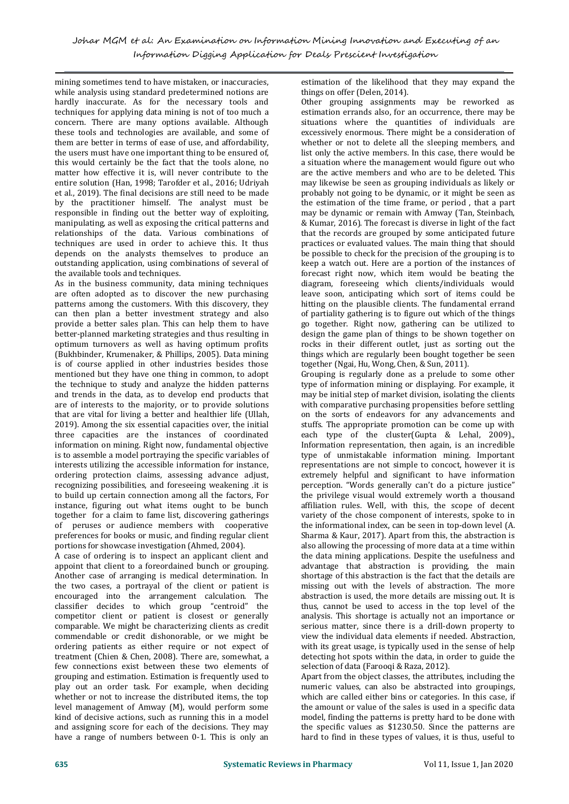mining sometimes tend to have mistaken, or inaccuracies, while analysis using standard predetermined notions are hardly inaccurate. As for the necessary tools and techniques for applying data mining is not of too much a concern. There are many options available. Although these tools and technologies are available, and some of them are better in terms of ease of use, and affordability, the users must have one important thing to be ensured of, this would certainly be the fact that the tools alone, no matter how effective it is, will never contribute to the entire solution (Han, 1998; Tarofder et al., 2016; Udriyah et al., 2019). The final decisions are still need to be made by the practitioner himself. The analyst must be responsible in finding out the better way of exploiting, manipulating, as well as exposing the critical patterns and relationships of the data. Various combinations of techniques are used in order to achieve this. It thus depends on the analysts themselves to produce an outstanding application, using combinations of several of the available tools and techniques.

As in the business community, data mining techniques are often adopted as to discover the new purchasing patterns among the customers. With this discovery, they can then plan a better investment strategy and also provide a better sales plan. This can help them to have better-planned marketing strategies and thus resulting in optimum turnovers as well as having optimum profits (Bukhbinder, Krumenaker, & Phillips, 2005). Data mining is of course applied in other industries besides those mentioned but they have one thing in common, to adopt the technique to study and analyze the hidden patterns and trends in the data, as to develop end products that are of interests to the majority, or to provide solutions that are vital for living a better and healthier life (Ullah, 2019). Among the six essential capacities over, the initial three capacities are the instances of coordinated information on mining. Right now, fundamental objective is to assemble a model portraying the specific variables of interests utilizing the accessible information for instance, ordering protection claims, assessing advance adjust, recognizing possibilities, and foreseeing weakening .it is to build up certain connection among all the factors, For instance, figuring out what items ought to be bunch together for a claim to fame list, discovering gatherings of peruses or audience members with cooperative preferences for books or music, and finding regular client portions for showcase investigation (Ahmed, 2004).

A case of ordering is to inspect an applicant client and appoint that client to a foreordained bunch or grouping. Another case of arranging is medical determination. In the two cases, a portrayal of the client or patient is encouraged into the arrangement calculation. The classifier decides to which group "centroid" the classifier decides to which group "centroid" competitor client or patient is closest or generally comparable. We might be characterizing clients as credit commendable or credit dishonorable, or we might be ordering patients as either require or not expect of treatment (Chien & Chen, 2008). There are, somewhat, a few connections exist between these two elements of grouping and estimation. Estimation is frequently used to play out an order task. For example, when deciding whether or not to increase the distributed items, the top level management of Amway (M), would perform some kind of decisive actions, such as running this in a model and assigning score for each of the decisions. They may have a range of numbers between 0-1. This is only an

estimation of the likelihood that they may expand the things on offer (Delen, 2014).

Other grouping assignments may be reworked as estimation errands also, for an occurrence, there may be situations where the quantities of individuals are excessively enormous. There might be a consideration of whether or not to delete all the sleeping members, and list only the active members. In this case, there would be a situation where the management would figure out who are the active members and who are to be deleted. This may likewise be seen as grouping individuals as likely or probably not going to be dynamic, or it might be seen as the estimation of the time frame, or period , that a part may be dynamic or remain with Amway (Tan, Steinbach, & Kumar, 2016). The forecast is diverse in light of the fact that the records are grouped by some anticipated future practices or evaluated values. The main thing that should be possible to check for the precision of the grouping is to keep a watch out. Here are a portion of the instances of forecast right now, which item would be beating the diagram, foreseeing which clients/individuals would leave soon, anticipating which sort of items could be hitting on the plausible clients. The fundamental errand of partiality gathering is to figure out which of the things go together. Right now, gathering can be utilized to design the game plan of things to be shown together on rocks in their different outlet, just as sorting out the things which are regularly been bought together be seen together (Ngai, Hu, Wong, Chen, & Sun, 2011).

Grouping is regularly done as a prelude to some other type of information mining or displaying. For example, it may be initial step of market division, isolating the clients with comparative purchasing propensities before settling on the sorts of endeavors for any advancements and stuffs. The appropriate promotion can be come up with each type of the cluster(Gupta & Lehal, 2009)., Information representation, then again, is an incredible type of unmistakable information mining. Important representations are not simple to concoct, however it is extremely helpful and significant to have information perception. "Words generally can't do a picture justice" the privilege visual would extremely worth a thousand affiliation rules. Well, with this, the scope of decent variety of the chose component of interests, spoke to in the informational index, can be seen in top-down level (A. Sharma & Kaur, 2017). Apart from this, the abstraction is also allowing the processing of more data at a time within the data mining applications. Despite the usefulness and advantage that abstraction is providing, the main shortage of this abstraction is the fact that the details are missing out with the levels of abstraction. The more abstraction is used, the more details are missing out. It is thus, cannot be used to access in the top level of the analysis. This shortage is actually not an importance or serious matter, since there is a drill-down property to view the individual data elements if needed. Abstraction, with its great usage, is typically used in the sense of help detecting hot spots within the data, in order to guide the selection of data (Farooqi & Raza, 2012).

Apart from the object classes, the attributes, including the numeric values, can also be abstracted into groupings, which are called either bins or categories. In this case, if the amount or value of the sales is used in a specific data model, finding the patterns is pretty hard to be done with the specific values as \$1230.50. Since the patterns are hard to find in these types of values, it is thus, useful to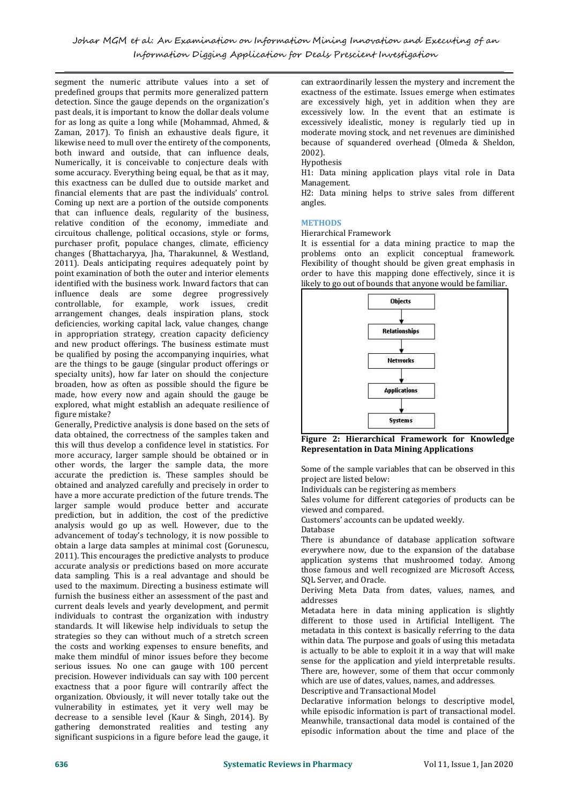segment the numeric attribute values into a set of predefined groups that permits more generalized pattern detection. Since the gauge depends on the organization's past deals, it is important to know the dollar deals volume for as long as quite a long while (Mohammad, Ahmed, & Zaman, 2017). To finish an exhaustive deals figure, it likewise need to mull over the entirety of the components, both inward and outside, that can influence deals, 2002).<br>Numerically, it is conceivable to conjecture deals with Hypothesis Numerically, it is conceivable to conjecture deals with some accuracy. Everything being equal, be that as it may, this exactness can be dulled due to outside market and financial elements that are past the individuals' control. Coming up next are a portion of the outside components that can influence deals, regularity of the business, relative condition of the economy, immediate and circuitous challenge, political occasions, style or forms, purchaser profit, populace changes, climate, efficiency changes (Bhattacharyya, Jha, Tharakunnel, & Westland, 2011). Deals anticipating requires adequately point by point examination of both the outer and interior elements identified with the business work. Inward factors that can influence deals are some degree progressively controllable, for example, work issues, credit arrangement changes, deals inspiration plans, stock deficiencies, working capital lack, value changes, change in appropriation strategy, creation capacity deficiency and new product offerings. The business estimate must be qualified by posing the accompanying inquiries, what are the things to be gauge (singular product offerings or specialty units), how far later on should the conjecture broaden, how as often as possible should the figure be made, how every now and again should the gauge be explored, what might establish an adequate resilience of figure mistake?

Generally, Predictive analysis is done based on the sets of data obtained, the correctness of the samples taken and this will thus develop a confidence level in statistics. For more accuracy, larger sample should be obtained or in other words, the larger the sample data, the more accurate the prediction is. These samples should be obtained and analyzed carefully and precisely in order to have a more accurate prediction of the future trends. The larger sample would produce better and accurate prediction, but in addition, the cost of the predictive analysis would go up as well. However, due to the  $\frac{\text{0}}{\text{Database}}$ advancement of today's technology, it is now possible to obtain a large data samples at minimal cost (Gorunescu, 2011). This encourages the predictive analysts to produce accurate analysis or predictions based on more accurate data sampling. This is a real advantage and should be used to the maximum. Directing a business estimate will furnish the business either an assessment of the past and current deals levels and yearly development, and permit individuals to contrast the organization with industry standards. It will likewise help individuals to setup the strategies so they can without much of a stretch screen the costs and working expenses to ensure benefits, and make them mindful of minor issues before they become serious issues. No one can gauge with 100 percent precision. However individuals can say with 100 percent exactness that a poor figure will contrarily affect the organization. Obviously, it will never totally take out the vulnerability in estimates, yet it very well may be decrease to a sensible level (Kaur & Singh, 2014). By gathering demonstrated realities and testing any significant suspicions in a figure before lead the gauge, it

can extraordinarily lessen the mystery and increment the exactness of the estimate. Issues emerge when estimates are excessively high, yet in addition when they are excessively low. In the event that an estimate is excessively idealistic, money is regularly tied up in moderate moving stock, and net revenues are diminished because of squandered overhead (Olmeda & Sheldon, 2002).

## Hypothesis

H1: Data mining application plays vital role in Data Management.

H2: Data mining helps to strive sales from different angles.

#### **METHODS**

Hierarchical Framework

It is essential for a data mining practice to map the problems onto an explicit conceptual framework. Flexibility of thought should be given great emphasis in order to have this mapping done effectively, since it is likely to go out of bounds that anyone would be familiar.



**Figure 2: Hierarchical Framework for Knowledge Representation in Data Mining Applications**

Some of the sample variables that can be observed in this project are listed below:

Individuals can be registering as members

Sales volume for different categories of products can be viewed and compared.

Customers' accounts can be updated weekly.

Database

There is abundance of database application software everywhere now, due to the expansion of the database application systems that mushroomed today. Among those famous and well recognized are Microsoft Access, SQL Server, and Oracle.

Deriving Meta Data from dates, values, names, and addresses

Metadata here in data mining application is slightly different to those used in Artificial Intelligent. The metadata in this context is basically referring to the data within data. The purpose and goals of using this metadata is actually to be able to exploit it in a way that will make sense for the application and yield interpretable results. There are, however, some of them that occur commonly which are use of dates, values, names, and addresses.

Descriptive and Transactional Model

Declarative information belongs to descriptive model, while episodic information is part of transactional model. Meanwhile, transactional data model is contained of the episodic information about the time and place of the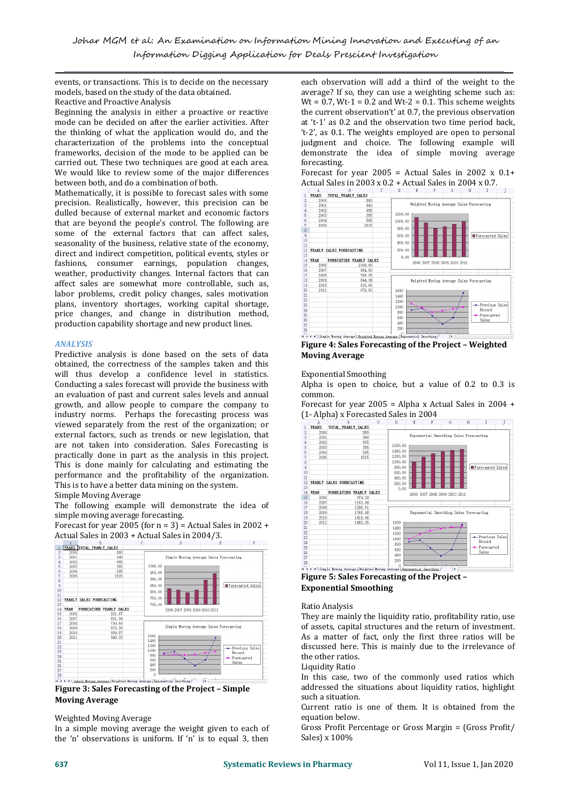events, or transactions. This is to decide on the necessary models, based on the study of the data obtained. Reactive and Proactive Analysis

Beginning the analysis in either a proactive or reactive mode can be decided on after the earlier activities. After the thinking of what the application would do, and the characterization of the problems into the conceptual frameworks, decision of the mode to be applied can be carried out. These two techniques are good at each area. We would like to review some of the major differences between both, and do a combination of both.

Mathematically, it is possible to forecast sales with some  $\frac{A}{1}$  TEARS TOTAL\_TEARLY\_SALES precision. Realistically, however, this precision can be  $\frac{2}{3}$   $\frac{2000}{2002}$ dulled because of external market and economic factors<br>that are beyond the people's control. The following are that are beyond the people's control. The following are some of the external factors that can affect sales, seasonality of the business, relative state of the economy,  $\frac{10}{12}$  TEARLY SALES FORECASTING direct and indirect competition, political events, styles or<br>
fashions, consumer earnings, population changes,<br>
weather, productivity changes. Internal factors that can<br>
affect sales are somewhat more controllable, such a fashions, consumer earnings, population changes, tashions, consumer earnings, population changes,<br>weather, productivity changes. Internal factors that can<br>affect sales are somewhat more controllable, such as,<br>labor problems credit policy changes sales motivation<br> $\frac{18}{$ affect sales are somewhat more controllable, such as, labor problems, credit policy changes, sales motivation plans, inventory shortages, working capital shortage, price changes, and change in distribution method, production capability shortage and new product lines.<br>  $\frac{27}{28}$ 

## *ANALYSIS*

Predictive analysis is done based on the sets of data obtained, the correctness of the samples taken and this will thus develop a confidence level in statistics. Conducting a sales forecast will provide the business with an evaluation of past and current sales levels and annual growth, and allow people to compare the company to industry norms. Perhaps the forecasting process was  $(1 - \text{Alpha}) \times \text{Force}$ <br>viewed separately from the rest of the organization; or  $\frac{1}{1 + \text{VAR}}$  TOTAL TRARLY SALES viewed separately from the rest of the organization; or external factors, such as trends or new legislation, that  $\frac{2}{3}$   $\frac{200}{200}$ are not taken into consideration. Sales Forecasting is  $\frac{4}{5}$   $\frac{2000}{2000}$ <br>practically done in part as the analysis in this project. practically done in part as the analysis in this project. This is done mainly for calculating and estimating the performance and the profitability of the organization. This is to have a better data mining on the system.

## Simple Moving Average

The following example will demonstrate the idea of<br>simple moving average forecasting.<br>Forecast for year 2005 (for n = 3) = Actual Sales in 2002 +<br>Actual Sales in 2003 + Actual Sales in 2004/3. simple moving average forecasting.

Simple moving average forecasting.<br>Forecast for year 2005 (for  $n = 3$ ) = Actual Sales in 2002 +  $\frac{20}{21}$ 



**Figure 3: Sales Forecasting of the Project – Simple Moving Average**

## Weighted Moving Average

In a simple moving average the weight given to each of the 'n' observations is uniform. If 'n' is to equal 3, then

each observation will add a third of the weight to the average? If so, they can use a weighting scheme such as:  $Wt = 0.7$ ,  $Wt-1 = 0.2$  and  $Wt-2 = 0.1$ . This scheme weights the current observation't' at 0.7, the previous observation at 't-1' as 0.2 and the observation two time period back, 't-2', as 0.1. The weights employed are open to personal judgment and choice. The following example will demonstrate the idea of simple moving average forecasting.

Forecast for year 2005 = Actual Sales in 2002  $x$  0.1+ Actual Sales in 2003 x 0.2 + Actual Sales in 2004 x 0.7.



**Figure 4: Sales Forecasting of the Project – Weighted Moving Average**

Exponential Smoothing

Alpha is open to choice, but a value of 0.2 to 0.3 is common.

Forecast for year 2005 = Alpha x Actual Sales in 2004 +  $(1-Alpha) \times Forecasted Sales in 2004$ 



**Figure 5: Sales Forecasting of the Project – Exponential Smoothing**

## Ratio Analysis

They are mainly the liquidity ratio, profitability ratio, use of assets, capital structures and the return of investment. As a matter of fact, only the first three ratios will be discussed here. This is mainly due to the irrelevance of the other ratios.

Liquidity Ratio

In this case, two of the commonly used ratios which addressed the situations about liquidity ratios, highlight such a situation.

Current ratio is one of them. It is obtained from the equation below.

Gross Profit Percentage or Gross Margin = (Gross Profit/ Sales) x 100%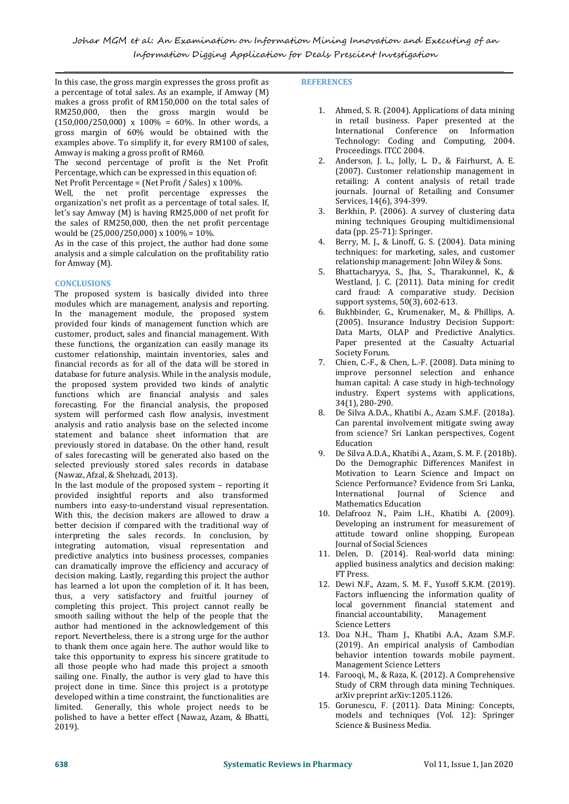In this case, the gross margin expresses the gross profit as a percentage of total sales. As an example, if Amway (M) makes a gross profit of RM150,000 on the total sales of RM250,000, then the gross margin would be  $(150,000/250,000)$  x  $100\% = 60\%$ . In other words, a gross margin of 60% would be obtained with the examples above. To simplify it, for every RM100 of sales, Amway is making a gross profit of RM60.

The second percentage of profit is the Net Profit 2. Percentage, which can be expressed in this equation of: Net Profit Percentage = (Net Profit / Sales) x 100%.

Well, the net profit percentage expresses the organization's net profit as a percentage of total sales. If, let's say Amway (M) is having RM25,000 of net profit for the sales of RM250,000, then the net profit percentage would be (25,000/250,000) x 100% = 10%.

As in the case of this project, the author had done some analysis and a simple calculation on the profitability ratio for Amway (M).

## **CONCLUSIONS**

The proposed system is basically divided into three modules which are management, analysis and reporting.<br>In the management module, the proposed system for In the management module, the proposed system provided four kinds of management function which are customer, product, sales and financial management. With these functions, the organization can easily manage its customer relationship, maintain inventories, sales and financial records as for all of the data will be stored in database for future analysis. While in the analysis module, the proposed system provided two kinds of analytic functions which are financial analysis and sales forecasting. For the financial analysis, the proposed system will performed cash flow analysis, investment analysis and ratio analysis base on the selected income statement and balance sheet information that are from science in the state of the other hand result. previously stored in database. On the other hand, result of sales forecasting will be generated also based on the selected previously stored sales records in database (Nawaz, Afzal, & Shehzadi, 2013).

In the last module of the proposed system – reporting it Science Performed Science Performed Science Reformed Science Reformed Science Reformed Science Reformed Science Reformed Science Reformed Science Reformed Science Re provided insightful reports and also transformed numbers into easy-to-understand visual representation. With this, the decision makers are allowed to draw a 10. Delafrooz N., Paim L.H., Khatibi A. (2009). better decision if compared with the traditional way of interpreting the sales records. In conclusion, by integrating automation, visual representation and predictive analytics into business processes, companies can dramatically improve the efficiency and accuracy of applied b<br>docision making Lastly regarding this project the author FTP Fress. decision making. Lastly, regarding this project the author has learned a lot upon the completion of it. It has been, thus, a very satisfactory and fruitful journey of completing this project. This project cannot really be smooth sailing without the help of the people that the author had mentioned in the acknowledgement of this report. Nevertheless, there is a strong urge for the author to thank them once again here. The author would like to take this opportunity to express his sincere gratitude to all those people who had made this project a smooth sailing one. Finally, the author is very glad to have this project done in time. Since this project is a prototype study of CRM through data min<br>developed within a time constraint, the functionalities are straining arxiv preprint arxiv:1205.1126. developed within a time constraint, the functionalities are limited. Generally, this whole project needs to be polished to have a better effect (Nawaz, Azam, & Bhatti, 2019).

## **REFERENCES**

- 1. Ahmed, S. R. (2004). Applications of data mining in retail business. Paper presented at the International Conference on Information Technology: Coding and Computing, 2004. Proceedings. ITCC 2004.
- 2. Anderson, J. L., Jolly, L. D., & Fairhurst, A. E. (2007). Customer relationship management in retailing: A content analysis of retail trade journals. Journal of Retailing and Consumer Services, 14(6), 394-399.
- Berkhin, P. (2006). A survey of clustering data mining techniques Grouping multidimensional data (pp. 25-71): Springer.
- 4. Berry, M. J., & Linoff, G. S. (2004). Data mining techniques: for marketing, sales, and customer relationship management: John Wiley & Sons.
- 5. Bhattacharyya, S., Jha, S., Tharakunnel, K., & Westland, J. C. (2011). Data mining for credit card fraud: A comparative study. Decision support systems, 50(3), 602-613.
- 6. Bukhbinder, G., Krumenaker, M., & Phillips, A. (2005). Insurance Industry Decision Support: Data Marts, OLAP and Predictive Analytics. Paper presented at the Casualty Actuarial Society Forum.
- 7. Chien, C.-F., & Chen, L.-F. (2008). Data mining to improve personnel selection and enhance human capital: A case study in high-technology industry. Expert systems with applications, 34(1), 280-290.
- 8. De Silva A.D.A., Khatibi A., Azam S.M.F. (2018a). Can parental involvement mitigate swing away from science? Sri Lankan perspectives, Cogent Education
- 9. De Silva A.D.A., Khatibi A., Azam, S. M. F. (2018b). Do the Demographic Differences Manifest in Motivation to Learn Science and Impact on Science Performance? Evidence from Sri Lanka,<br>International Iournal of Science and of Science Mathematics Education
- Developing an instrument for measurement of attitude toward online shopping, European Journal of Social Sciences
- 11. Delen, D. (2014). Real-world data mining: applied business analytics and decision making: FT Press.
- 12. Dewi N.F., Azam, S. M. F., Yusoff S.K.M. (2019). Factors influencing the information quality of local government financial statement and<br>financial accountability, Management financial accountability, Science Letters
- 13. Doa N.H., Tham J., Khatibi A.A., Azam S.M.F. (2019). An empirical analysis of Cambodian behavior intention towards mobile payment. Management Science Letters
- 14. Farooqi, M., & Raza, K. (2012). A Comprehensive Study of CRM through data mining Techniques.
- 15. Gorunescu, F. (2011). Data Mining: Concepts, models and techniques (Vol. 12): Springer Science & Business Media.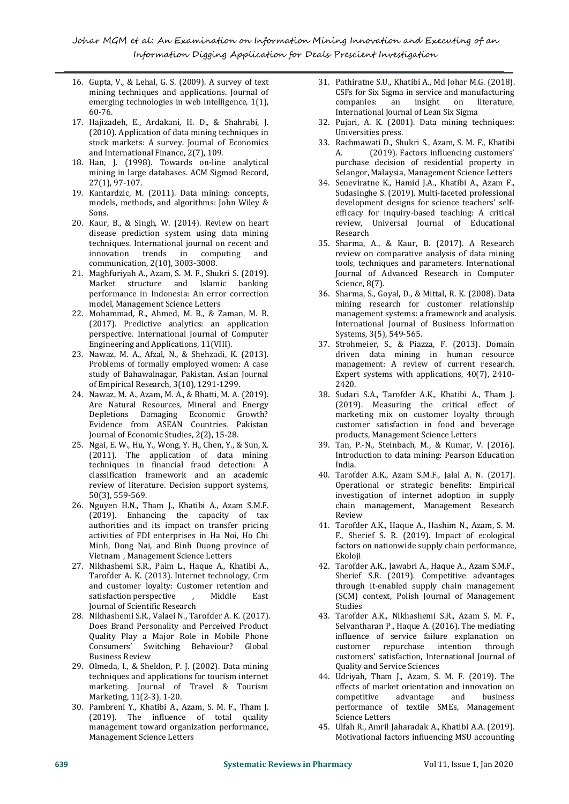- 16. Gupta, V., & Lehal, G. S. (2009). A survey of text mining techniques and applications. Journal of emerging technologies in web intelligence, 1(1), 60-76.
- 17. Hajizadeh, E., Ardakani, H. D., & Shahrabi, J. (2010). Application of data mining techniques in stock markets: A survey. Journal of Economics 33. Rand International Finance. 2(7). 109. A. and International Finance, 2(7), 109.
- 18. Han, J. (1998). Towards on-line analytical mining in large databases. ACM Sigmod Record, 27(1), 97-107.
- 19. Kantardzic, M. (2011). Data mining: concepts, models, methods, and algorithms: John Wiley & Sons.
- 20. Kaur, B., & Singh, W. (2014). Review on heart disease prediction system using data mining techniques. International journal on recent and<br>innovation trends in computing and trends in computing communication, 2(10), 3003-3008.
- 21. Maghfuriyah A., Azam, S. M.F., Shukri S. (2019). Market structure and Islamic banking performance in Indonesia: An error correction model, Management Science Letters
- 22. Mohammad, R., Ahmed, M. B., & Zaman, M. B. (2017). Predictive analytics: an application perspective. International Journal of Computer Engineering and Applications, 11(VIII).
- 23. Nawaz, M. A., Afzal, N., & Shehzadi, K. (2013). Problems of formally employed women: A case study of Bahawalnagar, Pakistan. Asian Journal of Empirical Research, 3(10), 1291-1299.
- 24. Nawaz, M. A., Azam, M. A., & Bhatti, M. A. (2019). Are Natural Resources, Mineral and Energy Depletions Damaging Economic Growth? Evidence from ASEAN Countries. Pakistan Journal of Economic Studies, 2(2), 15-28.
- 25. Ngai, E. W., Hu, Y., Wong, Y. H., Chen, Y., & Sun, X. (2011). The application of data mining techniques in financial fraud detection: A classification framework and an academic review of literature. Decision support systems, 50(3), 559-569.
- 26. Nguyen H.N., Tham J., Khatibi A., Azam S.M.F.<br>(2019). Enhancing the canacity of tax Review (2019). Enhancing the capacity of tax authorities and its impact on transfer pricing activities of FDI enterprises in Ha Noi, Ho Chi Minh, Dong Nai, and Binh Duong province of
- Vietnam, Management Science Letters<br>27. Nikhashemi S.R., Paim L., Haque A., Khatibi A., Tarofder A. K. (2013). Internet technology, Crm and customer loyalty: Customer retention and satisfaction perspective , Middle East Journal of Scientific Research
- 28. Nikhashemi S.R., Valaei N.,Tarofder A. K. (2017). Does Brand Personality and Perceived Product Quality Play a Major Role in Mobile Phone Switching Behaviour? Global Business Review
- 29. Olmeda, I., & Sheldon, P. J. (2002). Data mining techniques and applications for tourism internet marketing. Journal of Travel & Tourism effects of market orientatio<br>Marketing, 11(2-3), 1-20. Marketing, 11(2-3), 1-20.
- 30. Pambreni Y., Khatibi A., Azam, S. M. F., Tham J. (2019). The influence of total quality management toward organization performance, Management Science Letters
- 31. Pathiratne S.U., Khatibi A., Md Johar M.G. (2018). CSFs for Six Sigma in service and manufacturing<br>companies: an insight on literature, companies: an insight on literature, International Journal of Lean Six Sigma
- 32. Pujari, A. K. (2001). Data mining techniques: Universities press.
- 33. Rachmawati D.,Shukri S., Azam, S. M. F., Khatibi (2019). Factors influencing customers' purchase decision of residential property in Selangor, Malaysia, Management Science Letters
- 34. Seneviratne K., Hamid J.A., Khatibi A., Azam F., Sudasinghe S. (2019). Multi-faceted professional development designs for science teachers' self efficacy for inquiry-based teaching: A critical review, Universal Journal of Educational Research
- 35. Sharma, A., & Kaur, B. (2017). A Research review on comparative analysis of data mining tools, techniques and parameters. International Journal of Advanced Research in Computer Science, 8(7).
- 36. Sharma, S., Goyal, D., & Mittal, R. K. (2008). Data mining research for customer relationship management systems: a framework and analysis. International Journal of Business Information Systems, 3(5), 549-565.
- 37. Strohmeier, S., & Piazza, F. (2013). Domain driven data mining in human resource management: A review of current research. Expert systems with applications, 40(7), 2410- 2420.
- 38. Sudari S.A., Tarofder A.K., Khatibi A., Tham J. (2019). Measuring the critical effect of marketing mix on customer loyalty through customer satisfaction in food and beverage products, Management Science Letters
- 39. Tan, P.-N., Steinbach, M., & Kumar, V. (2016). Introduction to data mining: Pearson Education India.
- 40. Tarofder A.K., Azam S.M.F., Jalal A. N. (2017). Operational or strategic benefits: Empirical investigation of internet adoption in supply chain management, Management Research Review and the second service of  $\mathbb{R}^n$
- 41. Tarofder A.K., Haque A., Hashim N., Azam, S. M. F., Sherief S. R. (2019). Impact of ecological factors on nationwide supply chain performance, Ekoloji
- 42. Tarofder A.K., Jawabri A., Haque A., Azam S.M.F., Sherief S.R. (2019). Competitive advantages through it-enabled supply chain management (SCM) context, Polish Journal of Management Studies
- 43. Tarofder A.K., Nikhashemi S.R., Azam S. M. F., Selvantharan P., Haque A. (2016). The mediating influence of service failure explanation on repurchase intention customers' satisfaction, International Journal of Quality and Service Sciences
- 44. Udriyah, Tham J., Azam, S. M. F. (2019). The effects of market orientation and innovation on and business performance of textile SMEs, Management Science Letters
- 45. Ulfah R., Amril Jaharadak A., Khatibi A.A. (2019). Motivational factors influencing MSU accounting